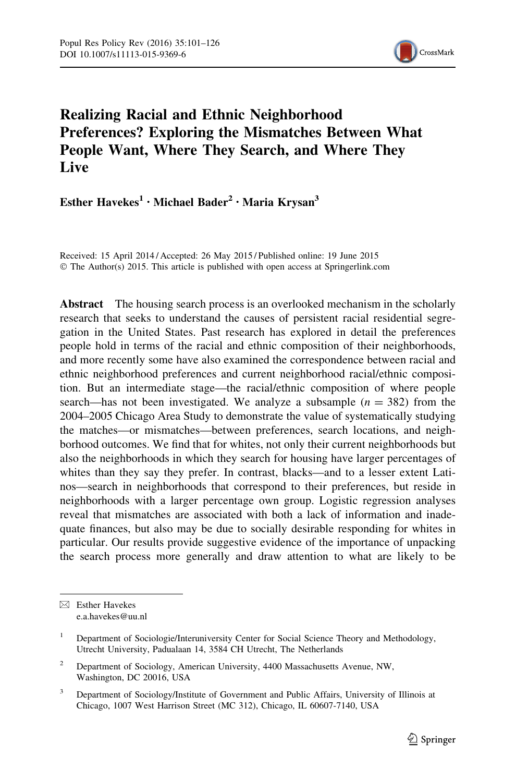

# Realizing Racial and Ethnic Neighborhood Preferences? Exploring the Mismatches Between What People Want, Where They Search, and Where They **Live**

Esther Havekes<sup>1</sup> · Michael Bader<sup>2</sup> · Maria Krysan<sup>3</sup>

Received: 15 April 2014 / Accepted: 26 May 2015 / Published online: 19 June 2015 © The Author(s) 2015. This article is published with open access at Springerlink.com

Abstract The housing search process is an overlooked mechanism in the scholarly research that seeks to understand the causes of persistent racial residential segregation in the United States. Past research has explored in detail the preferences people hold in terms of the racial and ethnic composition of their neighborhoods, and more recently some have also examined the correspondence between racial and ethnic neighborhood preferences and current neighborhood racial/ethnic composition. But an intermediate stage—the racial/ethnic composition of where people search—has not been investigated. We analyze a subsample  $(n = 382)$  from the 2004–2005 Chicago Area Study to demonstrate the value of systematically studying the matches—or mismatches—between preferences, search locations, and neighborhood outcomes. We find that for whites, not only their current neighborhoods but also the neighborhoods in which they search for housing have larger percentages of whites than they say they prefer. In contrast, blacks—and to a lesser extent Latinos—search in neighborhoods that correspond to their preferences, but reside in neighborhoods with a larger percentage own group. Logistic regression analyses reveal that mismatches are associated with both a lack of information and inadequate finances, but also may be due to socially desirable responding for whites in particular. Our results provide suggestive evidence of the importance of unpacking the search process more generally and draw attention to what are likely to be

 $\boxtimes$  Esther Havekes e.a.havekes@uu.nl

<sup>1</sup> Department of Sociologie/Interuniversity Center for Social Science Theory and Methodology, Utrecht University, Padualaan 14, 3584 CH Utrecht, The Netherlands

<sup>&</sup>lt;sup>2</sup> Department of Sociology, American University, 4400 Massachusetts Avenue, NW, Washington, DC 20016, USA

<sup>&</sup>lt;sup>3</sup> Department of Sociology/Institute of Government and Public Affairs, University of Illinois at Chicago, 1007 West Harrison Street (MC 312), Chicago, IL 60607-7140, USA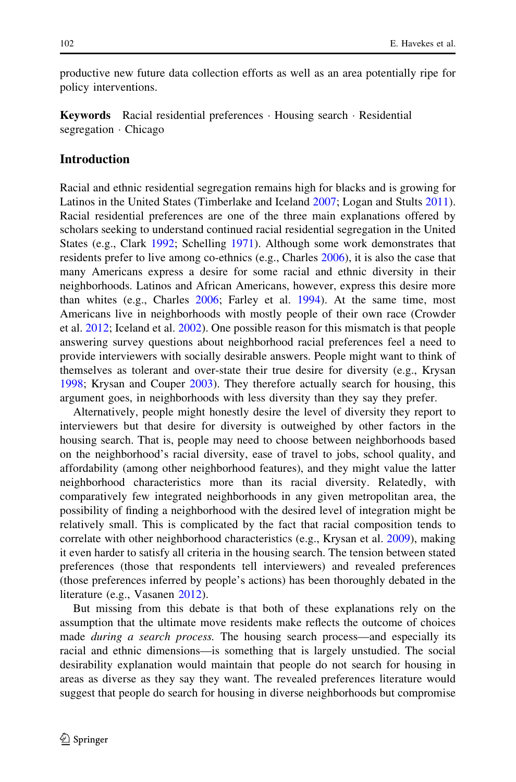productive new future data collection efforts as well as an area potentially ripe for policy interventions.

Keywords Racial residential preferences - Housing search - Residential segregation - Chicago

### Introduction

Racial and ethnic residential segregation remains high for blacks and is growing for Latinos in the United States (Timberlake and Iceland [2007;](#page-25-0) Logan and Stults [2011\)](#page-25-0). Racial residential preferences are one of the three main explanations offered by scholars seeking to understand continued racial residential segregation in the United States (e.g., Clark [1992;](#page-24-0) Schelling [1971\)](#page-25-0). Although some work demonstrates that residents prefer to live among co-ethnics (e.g., Charles [2006\)](#page-24-0), it is also the case that many Americans express a desire for some racial and ethnic diversity in their neighborhoods. Latinos and African Americans, however, express this desire more than whites (e.g., Charles [2006;](#page-24-0) Farley et al. [1994](#page-24-0)). At the same time, most Americans live in neighborhoods with mostly people of their own race (Crowder et al. [2012;](#page-24-0) Iceland et al. [2002\)](#page-24-0). One possible reason for this mismatch is that people answering survey questions about neighborhood racial preferences feel a need to provide interviewers with socially desirable answers. People might want to think of themselves as tolerant and over-state their true desire for diversity (e.g., Krysan [1998;](#page-24-0) Krysan and Couper [2003\)](#page-25-0). They therefore actually search for housing, this argument goes, in neighborhoods with less diversity than they say they prefer.

Alternatively, people might honestly desire the level of diversity they report to interviewers but that desire for diversity is outweighed by other factors in the housing search. That is, people may need to choose between neighborhoods based on the neighborhood's racial diversity, ease of travel to jobs, school quality, and affordability (among other neighborhood features), and they might value the latter neighborhood characteristics more than its racial diversity. Relatedly, with comparatively few integrated neighborhoods in any given metropolitan area, the possibility of finding a neighborhood with the desired level of integration might be relatively small. This is complicated by the fact that racial composition tends to correlate with other neighborhood characteristics (e.g., Krysan et al. [2009\)](#page-25-0), making it even harder to satisfy all criteria in the housing search. The tension between stated preferences (those that respondents tell interviewers) and revealed preferences (those preferences inferred by people's actions) has been thoroughly debated in the literature (e.g., Vasanen [2012\)](#page-25-0).

But missing from this debate is that both of these explanations rely on the assumption that the ultimate move residents make reflects the outcome of choices made *during a search process*. The housing search process—and especially its racial and ethnic dimensions—is something that is largely unstudied. The social desirability explanation would maintain that people do not search for housing in areas as diverse as they say they want. The revealed preferences literature would suggest that people do search for housing in diverse neighborhoods but compromise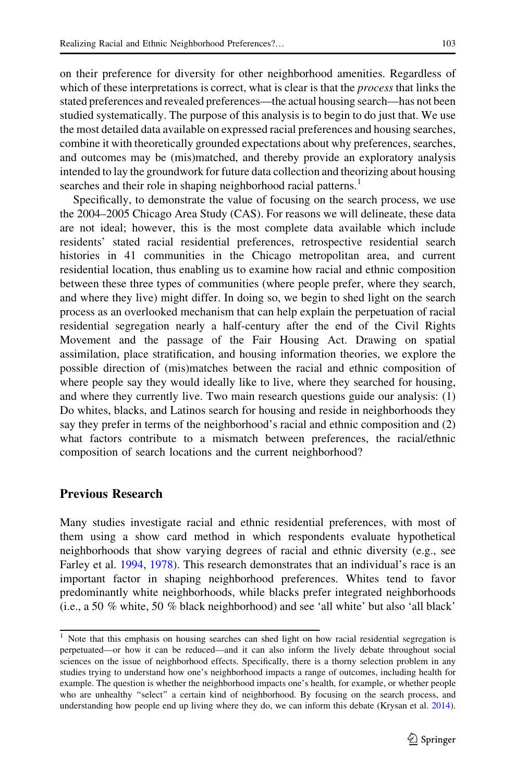on their preference for diversity for other neighborhood amenities. Regardless of which of these interpretations is correct, what is clear is that the *process* that links the stated preferences and revealed preferences—the actual housing search—has not been studied systematically. The purpose of this analysis is to begin to do just that. We use the most detailed data available on expressed racial preferences and housing searches, combine it with theoretically grounded expectations about why preferences, searches, and outcomes may be (mis)matched, and thereby provide an exploratory analysis intended to lay the groundwork for future data collection and theorizing about housing searches and their role in shaping neighborhood racial patterns.<sup>1</sup>

Specifically, to demonstrate the value of focusing on the search process, we use the 2004–2005 Chicago Area Study (CAS). For reasons we will delineate, these data are not ideal; however, this is the most complete data available which include residents' stated racial residential preferences, retrospective residential search histories in 41 communities in the Chicago metropolitan area, and current residential location, thus enabling us to examine how racial and ethnic composition between these three types of communities (where people prefer, where they search, and where they live) might differ. In doing so, we begin to shed light on the search process as an overlooked mechanism that can help explain the perpetuation of racial residential segregation nearly a half-century after the end of the Civil Rights Movement and the passage of the Fair Housing Act. Drawing on spatial assimilation, place stratification, and housing information theories, we explore the possible direction of (mis)matches between the racial and ethnic composition of where people say they would ideally like to live, where they searched for housing, and where they currently live. Two main research questions guide our analysis: (1) Do whites, blacks, and Latinos search for housing and reside in neighborhoods they say they prefer in terms of the neighborhood's racial and ethnic composition and (2) what factors contribute to a mismatch between preferences, the racial/ethnic composition of search locations and the current neighborhood?

#### Previous Research

Many studies investigate racial and ethnic residential preferences, with most of them using a show card method in which respondents evaluate hypothetical neighborhoods that show varying degrees of racial and ethnic diversity (e.g., see Farley et al. [1994](#page-24-0), [1978\)](#page-24-0). This research demonstrates that an individual's race is an important factor in shaping neighborhood preferences. Whites tend to favor predominantly white neighborhoods, while blacks prefer integrated neighborhoods (i.e., a 50 % white, 50 % black neighborhood) and see 'all white' but also 'all black'

<sup>&</sup>lt;sup>1</sup> Note that this emphasis on housing searches can shed light on how racial residential segregation is perpetuated—or how it can be reduced—and it can also inform the lively debate throughout social sciences on the issue of neighborhood effects. Specifically, there is a thorny selection problem in any studies trying to understand how one's neighborhood impacts a range of outcomes, including health for example. The question is whether the neighborhood impacts one's health, for example, or whether people who are unhealthy "select" a certain kind of neighborhood. By focusing on the search process, and understanding how people end up living where they do, we can inform this debate (Krysan et al. [2014\)](#page-25-0).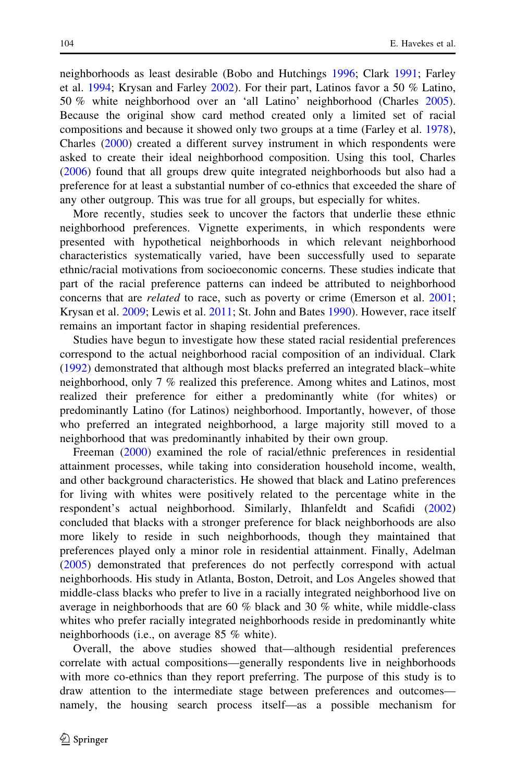neighborhoods as least desirable (Bobo and Hutchings [1996;](#page-24-0) Clark [1991;](#page-24-0) Farley et al. [1994;](#page-24-0) Krysan and Farley [2002\)](#page-25-0). For their part, Latinos favor a 50 % Latino, 50 % white neighborhood over an 'all Latino' neighborhood (Charles [2005\)](#page-24-0). Because the original show card method created only a limited set of racial compositions and because it showed only two groups at a time (Farley et al. [1978\)](#page-24-0), Charles [\(2000](#page-24-0)) created a different survey instrument in which respondents were asked to create their ideal neighborhood composition. Using this tool, Charles [\(2006](#page-24-0)) found that all groups drew quite integrated neighborhoods but also had a preference for at least a substantial number of co-ethnics that exceeded the share of any other outgroup. This was true for all groups, but especially for whites.

More recently, studies seek to uncover the factors that underlie these ethnic neighborhood preferences. Vignette experiments, in which respondents were presented with hypothetical neighborhoods in which relevant neighborhood characteristics systematically varied, have been successfully used to separate ethnic/racial motivations from socioeconomic concerns. These studies indicate that part of the racial preference patterns can indeed be attributed to neighborhood concerns that are *related* to race, such as poverty or crime (Emerson et al. [2001;](#page-24-0) Krysan et al. [2009](#page-25-0); Lewis et al. [2011](#page-25-0); St. John and Bates [1990](#page-25-0)). However, race itself remains an important factor in shaping residential preferences.

Studies have begun to investigate how these stated racial residential preferences correspond to the actual neighborhood racial composition of an individual. Clark [\(1992](#page-24-0)) demonstrated that although most blacks preferred an integrated black–white neighborhood, only 7 % realized this preference. Among whites and Latinos, most realized their preference for either a predominantly white (for whites) or predominantly Latino (for Latinos) neighborhood. Importantly, however, of those who preferred an integrated neighborhood, a large majority still moved to a neighborhood that was predominantly inhabited by their own group.

Freeman ([2000\)](#page-24-0) examined the role of racial/ethnic preferences in residential attainment processes, while taking into consideration household income, wealth, and other background characteristics. He showed that black and Latino preferences for living with whites were positively related to the percentage white in the respondent's actual neighborhood. Similarly, Ihlanfeldt and Scafidi [\(2002](#page-24-0)) concluded that blacks with a stronger preference for black neighborhoods are also more likely to reside in such neighborhoods, though they maintained that preferences played only a minor role in residential attainment. Finally, Adelman [\(2005](#page-23-0)) demonstrated that preferences do not perfectly correspond with actual neighborhoods. His study in Atlanta, Boston, Detroit, and Los Angeles showed that middle-class blacks who prefer to live in a racially integrated neighborhood live on average in neighborhoods that are 60 % black and 30 % white, while middle-class whites who prefer racially integrated neighborhoods reside in predominantly white neighborhoods (i.e., on average 85 % white).

Overall, the above studies showed that—although residential preferences correlate with actual compositions—generally respondents live in neighborhoods with more co-ethnics than they report preferring. The purpose of this study is to draw attention to the intermediate stage between preferences and outcomes namely, the housing search process itself—as a possible mechanism for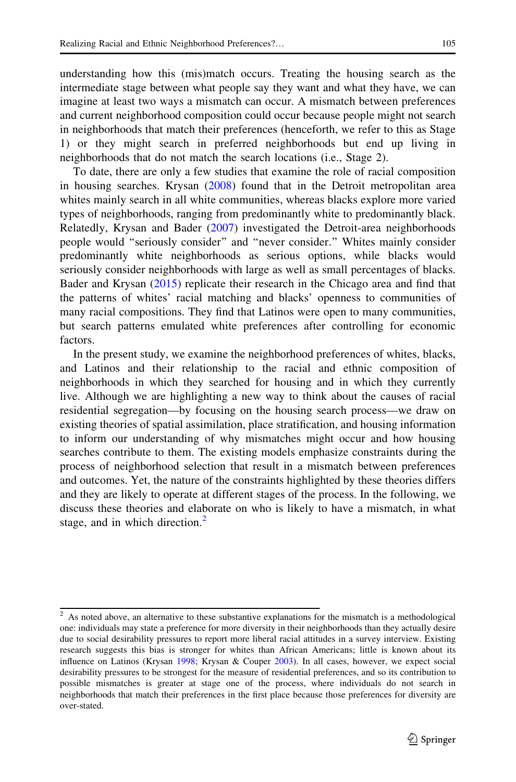understanding how this (mis)match occurs. Treating the housing search as the intermediate stage between what people say they want and what they have, we can imagine at least two ways a mismatch can occur. A mismatch between preferences and current neighborhood composition could occur because people might not search in neighborhoods that match their preferences (henceforth, we refer to this as Stage 1) or they might search in preferred neighborhoods but end up living in neighborhoods that do not match the search locations (i.e., Stage 2).

To date, there are only a few studies that examine the role of racial composition in housing searches. Krysan ([2008\)](#page-24-0) found that in the Detroit metropolitan area whites mainly search in all white communities, whereas blacks explore more varied types of neighborhoods, ranging from predominantly white to predominantly black. Relatedly, Krysan and Bader [\(2007](#page-24-0)) investigated the Detroit-area neighborhoods people would ''seriously consider'' and ''never consider.'' Whites mainly consider predominantly white neighborhoods as serious options, while blacks would seriously consider neighborhoods with large as well as small percentages of blacks. Bader and Krysan [\(2015](#page-24-0)) replicate their research in the Chicago area and find that the patterns of whites' racial matching and blacks' openness to communities of many racial compositions. They find that Latinos were open to many communities, but search patterns emulated white preferences after controlling for economic factors.

In the present study, we examine the neighborhood preferences of whites, blacks, and Latinos and their relationship to the racial and ethnic composition of neighborhoods in which they searched for housing and in which they currently live. Although we are highlighting a new way to think about the causes of racial residential segregation—by focusing on the housing search process—we draw on existing theories of spatial assimilation, place stratification, and housing information to inform our understanding of why mismatches might occur and how housing searches contribute to them. The existing models emphasize constraints during the process of neighborhood selection that result in a mismatch between preferences and outcomes. Yet, the nature of the constraints highlighted by these theories differs and they are likely to operate at different stages of the process. In the following, we discuss these theories and elaborate on who is likely to have a mismatch, in what stage, and in which direction.<sup>2</sup>

 $2$  As noted above, an alternative to these substantive explanations for the mismatch is a methodological one: individuals may state a preference for more diversity in their neighborhoods than they actually desire due to social desirability pressures to report more liberal racial attitudes in a survey interview. Existing research suggests this bias is stronger for whites than African Americans; little is known about its influence on Latinos (Krysan [1998](#page-24-0); Krysan & Couper [2003\)](#page-25-0). In all cases, however, we expect social desirability pressures to be strongest for the measure of residential preferences, and so its contribution to possible mismatches is greater at stage one of the process, where individuals do not search in neighborhoods that match their preferences in the first place because those preferences for diversity are over-stated.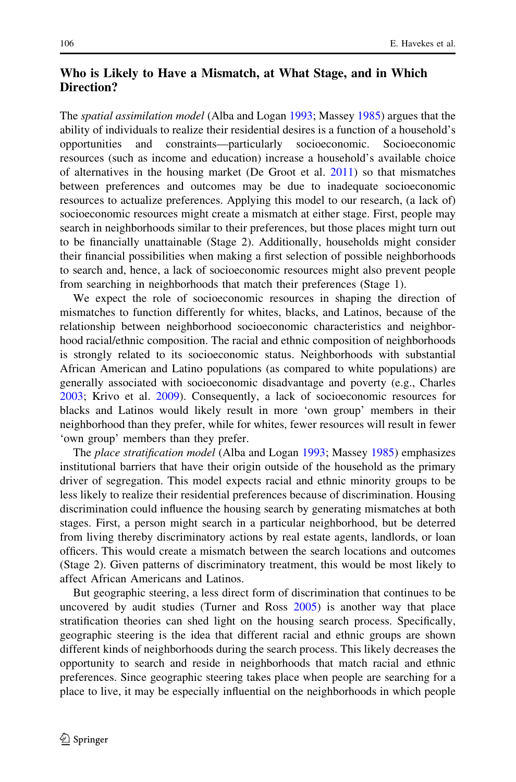# Who is Likely to Have a Mismatch, at What Stage, and in Which Direction?

The spatial assimilation model (Alba and Logan [1993;](#page-23-0) Massey [1985](#page-25-0)) argues that the ability of individuals to realize their residential desires is a function of a household's opportunities and constraints—particularly socioeconomic. Socioeconomic resources (such as income and education) increase a household's available choice of alternatives in the housing market (De Groot et al. [2011](#page-24-0)) so that mismatches between preferences and outcomes may be due to inadequate socioeconomic resources to actualize preferences. Applying this model to our research, (a lack of) socioeconomic resources might create a mismatch at either stage. First, people may search in neighborhoods similar to their preferences, but those places might turn out to be financially unattainable (Stage 2). Additionally, households might consider their financial possibilities when making a first selection of possible neighborhoods to search and, hence, a lack of socioeconomic resources might also prevent people from searching in neighborhoods that match their preferences (Stage 1).

We expect the role of socioeconomic resources in shaping the direction of mismatches to function differently for whites, blacks, and Latinos, because of the relationship between neighborhood socioeconomic characteristics and neighborhood racial/ethnic composition. The racial and ethnic composition of neighborhoods is strongly related to its socioeconomic status. Neighborhoods with substantial African American and Latino populations (as compared to white populations) are generally associated with socioeconomic disadvantage and poverty (e.g., Charles [2003;](#page-24-0) Krivo et al. [2009\)](#page-24-0). Consequently, a lack of socioeconomic resources for blacks and Latinos would likely result in more 'own group' members in their neighborhood than they prefer, while for whites, fewer resources will result in fewer 'own group' members than they prefer.

The place stratification model (Alba and Logan [1993](#page-23-0); Massey [1985](#page-25-0)) emphasizes institutional barriers that have their origin outside of the household as the primary driver of segregation. This model expects racial and ethnic minority groups to be less likely to realize their residential preferences because of discrimination. Housing discrimination could influence the housing search by generating mismatches at both stages. First, a person might search in a particular neighborhood, but be deterred from living thereby discriminatory actions by real estate agents, landlords, or loan officers. This would create a mismatch between the search locations and outcomes (Stage 2). Given patterns of discriminatory treatment, this would be most likely to affect African Americans and Latinos.

But geographic steering, a less direct form of discrimination that continues to be uncovered by audit studies (Turner and Ross [2005](#page-25-0)) is another way that place stratification theories can shed light on the housing search process. Specifically, geographic steering is the idea that different racial and ethnic groups are shown different kinds of neighborhoods during the search process. This likely decreases the opportunity to search and reside in neighborhoods that match racial and ethnic preferences. Since geographic steering takes place when people are searching for a place to live, it may be especially influential on the neighborhoods in which people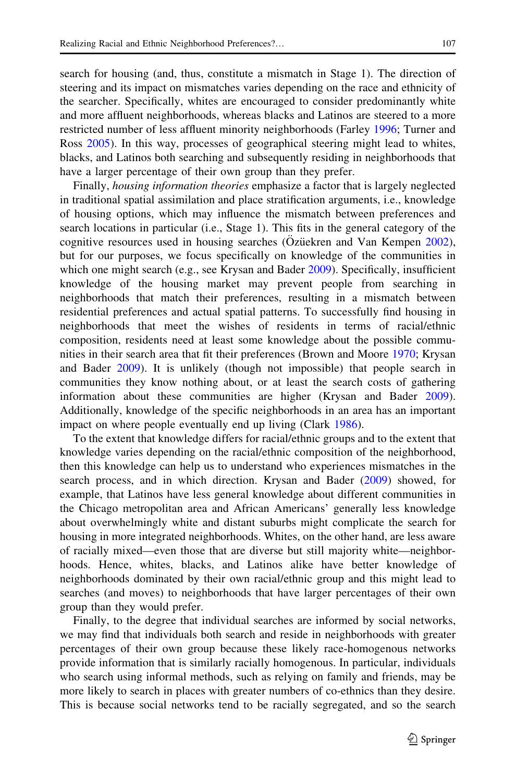search for housing (and, thus, constitute a mismatch in Stage 1). The direction of steering and its impact on mismatches varies depending on the race and ethnicity of the searcher. Specifically, whites are encouraged to consider predominantly white and more affluent neighborhoods, whereas blacks and Latinos are steered to a more restricted number of less affluent minority neighborhoods (Farley [1996](#page-24-0); Turner and Ross [2005\)](#page-25-0). In this way, processes of geographical steering might lead to whites, blacks, and Latinos both searching and subsequently residing in neighborhoods that have a larger percentage of their own group than they prefer.

Finally, housing information theories emphasize a factor that is largely neglected in traditional spatial assimilation and place stratification arguments, i.e., knowledge of housing options, which may influence the mismatch between preferences and search locations in particular (i.e., Stage 1). This fits in the general category of the cognitive resources used in housing searches (Ozüekren and Van Kempen  $2002$ ), but for our purposes, we focus specifically on knowledge of the communities in which one might search (e.g., see Krysan and Bader [2009\)](#page-24-0). Specifically, insufficient knowledge of the housing market may prevent people from searching in neighborhoods that match their preferences, resulting in a mismatch between residential preferences and actual spatial patterns. To successfully find housing in neighborhoods that meet the wishes of residents in terms of racial/ethnic composition, residents need at least some knowledge about the possible communities in their search area that fit their preferences (Brown and Moore [1970;](#page-24-0) Krysan and Bader [2009\)](#page-24-0). It is unlikely (though not impossible) that people search in communities they know nothing about, or at least the search costs of gathering information about these communities are higher (Krysan and Bader [2009\)](#page-24-0). Additionally, knowledge of the specific neighborhoods in an area has an important impact on where people eventually end up living (Clark [1986\)](#page-24-0).

To the extent that knowledge differs for racial/ethnic groups and to the extent that knowledge varies depending on the racial/ethnic composition of the neighborhood, then this knowledge can help us to understand who experiences mismatches in the search process, and in which direction. Krysan and Bader [\(2009](#page-24-0)) showed, for example, that Latinos have less general knowledge about different communities in the Chicago metropolitan area and African Americans' generally less knowledge about overwhelmingly white and distant suburbs might complicate the search for housing in more integrated neighborhoods. Whites, on the other hand, are less aware of racially mixed—even those that are diverse but still majority white—neighborhoods. Hence, whites, blacks, and Latinos alike have better knowledge of neighborhoods dominated by their own racial/ethnic group and this might lead to searches (and moves) to neighborhoods that have larger percentages of their own group than they would prefer.

Finally, to the degree that individual searches are informed by social networks, we may find that individuals both search and reside in neighborhoods with greater percentages of their own group because these likely race-homogenous networks provide information that is similarly racially homogenous. In particular, individuals who search using informal methods, such as relying on family and friends, may be more likely to search in places with greater numbers of co-ethnics than they desire. This is because social networks tend to be racially segregated, and so the search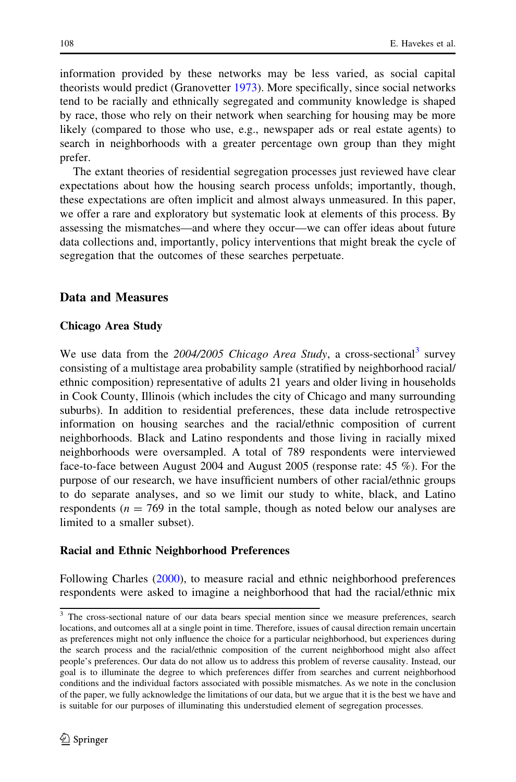information provided by these networks may be less varied, as social capital theorists would predict (Granovetter [1973](#page-24-0)). More specifically, since social networks tend to be racially and ethnically segregated and community knowledge is shaped by race, those who rely on their network when searching for housing may be more likely (compared to those who use, e.g., newspaper ads or real estate agents) to search in neighborhoods with a greater percentage own group than they might prefer.

The extant theories of residential segregation processes just reviewed have clear expectations about how the housing search process unfolds; importantly, though, these expectations are often implicit and almost always unmeasured. In this paper, we offer a rare and exploratory but systematic look at elements of this process. By assessing the mismatches—and where they occur—we can offer ideas about future data collections and, importantly, policy interventions that might break the cycle of segregation that the outcomes of these searches perpetuate.

# Data and Measures

# Chicago Area Study

We use data from the 2004/2005 Chicago Area Study, a cross-sectional<sup>3</sup> survey consisting of a multistage area probability sample (stratified by neighborhood racial/ ethnic composition) representative of adults 21 years and older living in households in Cook County, Illinois (which includes the city of Chicago and many surrounding suburbs). In addition to residential preferences, these data include retrospective information on housing searches and the racial/ethnic composition of current neighborhoods. Black and Latino respondents and those living in racially mixed neighborhoods were oversampled. A total of 789 respondents were interviewed face-to-face between August 2004 and August 2005 (response rate: 45 %). For the purpose of our research, we have insufficient numbers of other racial/ethnic groups to do separate analyses, and so we limit our study to white, black, and Latino respondents ( $n = 769$  in the total sample, though as noted below our analyses are limited to a smaller subset).

# Racial and Ethnic Neighborhood Preferences

Following Charles [\(2000](#page-24-0)), to measure racial and ethnic neighborhood preferences respondents were asked to imagine a neighborhood that had the racial/ethnic mix

<sup>&</sup>lt;sup>3</sup> The cross-sectional nature of our data bears special mention since we measure preferences, search locations, and outcomes all at a single point in time. Therefore, issues of causal direction remain uncertain as preferences might not only influence the choice for a particular neighborhood, but experiences during the search process and the racial/ethnic composition of the current neighborhood might also affect people's preferences. Our data do not allow us to address this problem of reverse causality. Instead, our goal is to illuminate the degree to which preferences differ from searches and current neighborhood conditions and the individual factors associated with possible mismatches. As we note in the conclusion of the paper, we fully acknowledge the limitations of our data, but we argue that it is the best we have and is suitable for our purposes of illuminating this understudied element of segregation processes.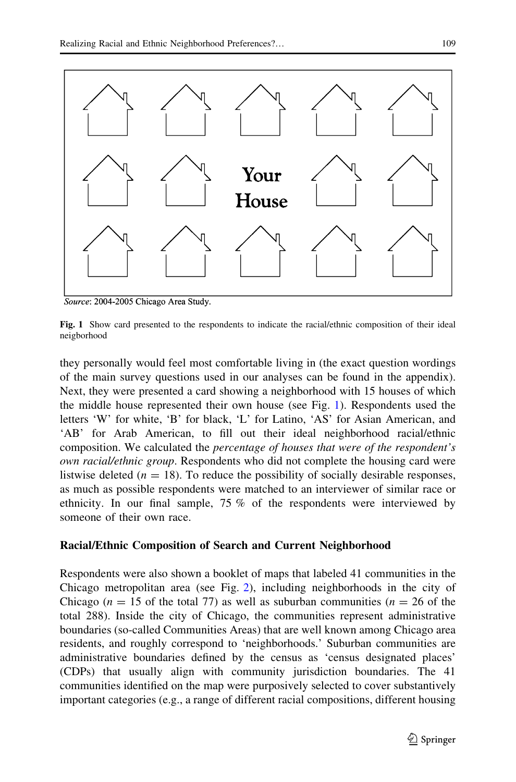<span id="page-8-0"></span>

Source: 2004-2005 Chicago Area Study.

Fig. 1 Show card presented to the respondents to indicate the racial/ethnic composition of their ideal neigborhood

they personally would feel most comfortable living in (the exact question wordings of the main survey questions used in our analyses can be found in the appendix). Next, they were presented a card showing a neighborhood with 15 houses of which the middle house represented their own house (see Fig. 1). Respondents used the letters 'W' for white, 'B' for black, 'L' for Latino, 'AS' for Asian American, and 'AB' for Arab American, to fill out their ideal neighborhood racial/ethnic composition. We calculated the percentage of houses that were of the respondent's own racial/ethnic group. Respondents who did not complete the housing card were listwise deleted ( $n = 18$ ). To reduce the possibility of socially desirable responses, as much as possible respondents were matched to an interviewer of similar race or ethnicity. In our final sample, 75 % of the respondents were interviewed by someone of their own race.

# Racial/Ethnic Composition of Search and Current Neighborhood

Respondents were also shown a booklet of maps that labeled 41 communities in the Chicago metropolitan area (see Fig. [2](#page-9-0)), including neighborhoods in the city of Chicago ( $n = 15$  of the total 77) as well as suburban communities ( $n = 26$  of the total 288). Inside the city of Chicago, the communities represent administrative boundaries (so-called Communities Areas) that are well known among Chicago area residents, and roughly correspond to 'neighborhoods.' Suburban communities are administrative boundaries defined by the census as 'census designated places' (CDPs) that usually align with community jurisdiction boundaries. The 41 communities identified on the map were purposively selected to cover substantively important categories (e.g., a range of different racial compositions, different housing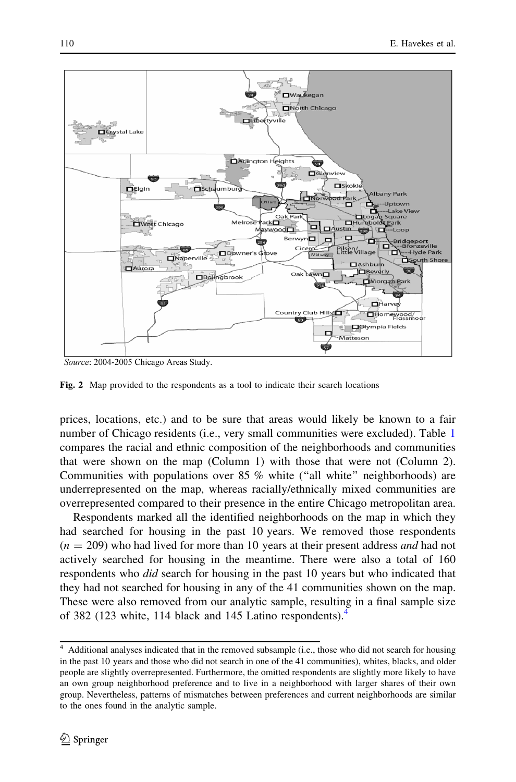<span id="page-9-0"></span>

Source: 2004-2005 Chicago Areas Study.

Fig. 2 Map provided to the respondents as a tool to indicate their search locations

prices, locations, etc.) and to be sure that areas would likely be known to a fair number of Chicago residents (i.e., very small communities were excluded). Table [1](#page-10-0) compares the racial and ethnic composition of the neighborhoods and communities that were shown on the map (Column 1) with those that were not (Column 2). Communities with populations over 85 % white (''all white'' neighborhoods) are underrepresented on the map, whereas racially/ethnically mixed communities are overrepresented compared to their presence in the entire Chicago metropolitan area.

Respondents marked all the identified neighborhoods on the map in which they had searched for housing in the past 10 years. We removed those respondents  $(n = 209)$  who had lived for more than 10 years at their present address *and* had not actively searched for housing in the meantime. There were also a total of 160 respondents who *did* search for housing in the past 10 years but who indicated that they had not searched for housing in any of the 41 communities shown on the map. These were also removed from our analytic sample, resulting in a final sample size of 382 (123 white, 114 black and 145 Latino respondents).

<sup>4</sup> Additional analyses indicated that in the removed subsample (i.e., those who did not search for housing in the past 10 years and those who did not search in one of the 41 communities), whites, blacks, and older people are slightly overrepresented. Furthermore, the omitted respondents are slightly more likely to have an own group neighborhood preference and to live in a neighborhood with larger shares of their own group. Nevertheless, patterns of mismatches between preferences and current neighborhoods are similar to the ones found in the analytic sample.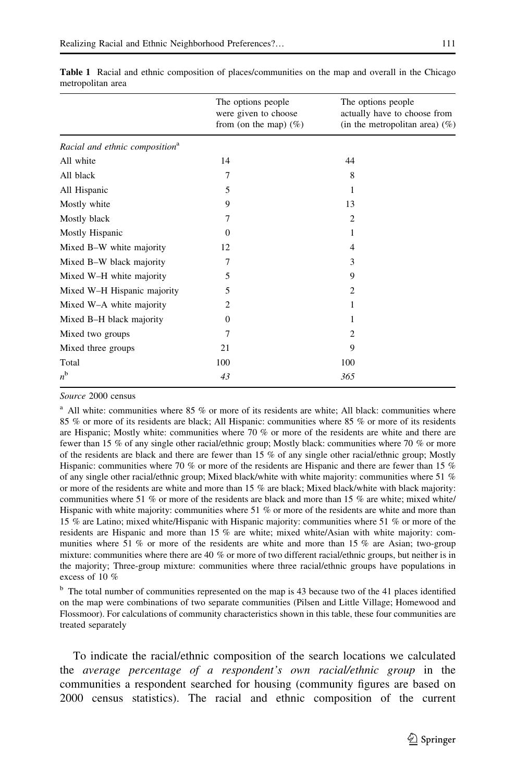|                                            | The options people<br>were given to choose<br>from (on the map) $(\%)$ | The options people<br>actually have to choose from<br>(in the metropolitan area) $(\%)$ |
|--------------------------------------------|------------------------------------------------------------------------|-----------------------------------------------------------------------------------------|
| Racial and ethnic composition <sup>a</sup> |                                                                        |                                                                                         |
| All white                                  | 14                                                                     | 44                                                                                      |
| All black                                  | 7                                                                      | 8                                                                                       |
| All Hispanic                               | 5                                                                      | 1                                                                                       |
| Mostly white                               | 9                                                                      | 13                                                                                      |
| Mostly black                               | 7                                                                      | 2                                                                                       |
| Mostly Hispanic                            | $\Omega$                                                               | 1                                                                                       |
| Mixed B-W white majority                   | 12                                                                     | 4                                                                                       |
| Mixed B-W black majority                   | 7                                                                      | 3                                                                                       |
| Mixed W-H white majority                   | 5                                                                      | 9                                                                                       |
| Mixed W-H Hispanic majority                | 5                                                                      | 2                                                                                       |
| Mixed W-A white majority                   | 2                                                                      | 1                                                                                       |
| Mixed B-H black majority                   | $\Omega$                                                               |                                                                                         |
| Mixed two groups                           | 7                                                                      | 2                                                                                       |
| Mixed three groups                         | 21                                                                     | 9                                                                                       |
| Total                                      | 100                                                                    | 100                                                                                     |
| $n^{\rm b}$                                | 43                                                                     | 365                                                                                     |

<span id="page-10-0"></span>Table 1 Racial and ethnic composition of places/communities on the map and overall in the Chicago metropolitan area

Source 2000 census

<sup>a</sup> All white: communities where 85 % or more of its residents are white; All black: communities where 85 % or more of its residents are black; All Hispanic: communities where 85 % or more of its residents are Hispanic; Mostly white: communities where 70 % or more of the residents are white and there are fewer than 15 % of any single other racial/ethnic group; Mostly black: communities where 70 % or more of the residents are black and there are fewer than 15 % of any single other racial/ethnic group; Mostly Hispanic: communities where 70 % or more of the residents are Hispanic and there are fewer than 15 % of any single other racial/ethnic group; Mixed black/white with white majority: communities where 51 % or more of the residents are white and more than 15 % are black; Mixed black/white with black majority: communities where 51 % or more of the residents are black and more than 15 % are white; mixed white/ Hispanic with white majority: communities where 51 % or more of the residents are white and more than 15 % are Latino; mixed white/Hispanic with Hispanic majority: communities where 51 % or more of the residents are Hispanic and more than 15 % are white; mixed white/Asian with white majority: communities where 51 % or more of the residents are white and more than 15 % are Asian; two-group mixture: communities where there are 40 % or more of two different racial/ethnic groups, but neither is in the majority; Three-group mixture: communities where three racial/ethnic groups have populations in excess of 10 %

<sup>b</sup> The total number of communities represented on the map is 43 because two of the 41 places identified on the map were combinations of two separate communities (Pilsen and Little Village; Homewood and Flossmoor). For calculations of community characteristics shown in this table, these four communities are treated separately

To indicate the racial/ethnic composition of the search locations we calculated the average percentage of a respondent's own racial/ethnic group in the communities a respondent searched for housing (community figures are based on 2000 census statistics). The racial and ethnic composition of the current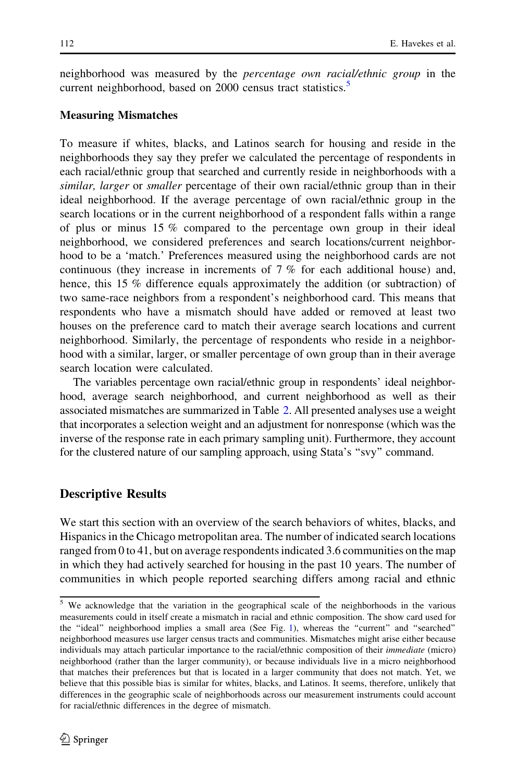neighborhood was measured by the *percentage own racial/ethnic group* in the current neighborhood, based on 2000 census tract statistics.<sup>5</sup>

#### Measuring Mismatches

To measure if whites, blacks, and Latinos search for housing and reside in the neighborhoods they say they prefer we calculated the percentage of respondents in each racial/ethnic group that searched and currently reside in neighborhoods with a similar, larger or smaller percentage of their own racial/ethnic group than in their ideal neighborhood. If the average percentage of own racial/ethnic group in the search locations or in the current neighborhood of a respondent falls within a range of plus or minus 15 % compared to the percentage own group in their ideal neighborhood, we considered preferences and search locations/current neighborhood to be a 'match.' Preferences measured using the neighborhood cards are not continuous (they increase in increments of 7 % for each additional house) and, hence, this 15 % difference equals approximately the addition (or subtraction) of two same-race neighbors from a respondent's neighborhood card. This means that respondents who have a mismatch should have added or removed at least two houses on the preference card to match their average search locations and current neighborhood. Similarly, the percentage of respondents who reside in a neighborhood with a similar, larger, or smaller percentage of own group than in their average search location were calculated.

The variables percentage own racial/ethnic group in respondents' ideal neighborhood, average search neighborhood, and current neighborhood as well as their associated mismatches are summarized in Table [2](#page-12-0). All presented analyses use a weight that incorporates a selection weight and an adjustment for nonresponse (which was the inverse of the response rate in each primary sampling unit). Furthermore, they account for the clustered nature of our sampling approach, using Stata's ''svy'' command.

#### Descriptive Results

We start this section with an overview of the search behaviors of whites, blacks, and Hispanics in the Chicago metropolitan area. The number of indicated search locations ranged from 0 to 41, but on average respondents indicated 3.6 communities on the map in which they had actively searched for housing in the past 10 years. The number of communities in which people reported searching differs among racial and ethnic

<sup>5</sup> We acknowledge that the variation in the geographical scale of the neighborhoods in the various measurements could in itself create a mismatch in racial and ethnic composition. The show card used for the ''ideal'' neighborhood implies a small area (See Fig. [1\)](#page-8-0), whereas the ''current'' and ''searched'' neighborhood measures use larger census tracts and communities. Mismatches might arise either because individuals may attach particular importance to the racial/ethnic composition of their immediate (micro) neighborhood (rather than the larger community), or because individuals live in a micro neighborhood that matches their preferences but that is located in a larger community that does not match. Yet, we believe that this possible bias is similar for whites, blacks, and Latinos. It seems, therefore, unlikely that differences in the geographic scale of neighborhoods across our measurement instruments could account for racial/ethnic differences in the degree of mismatch.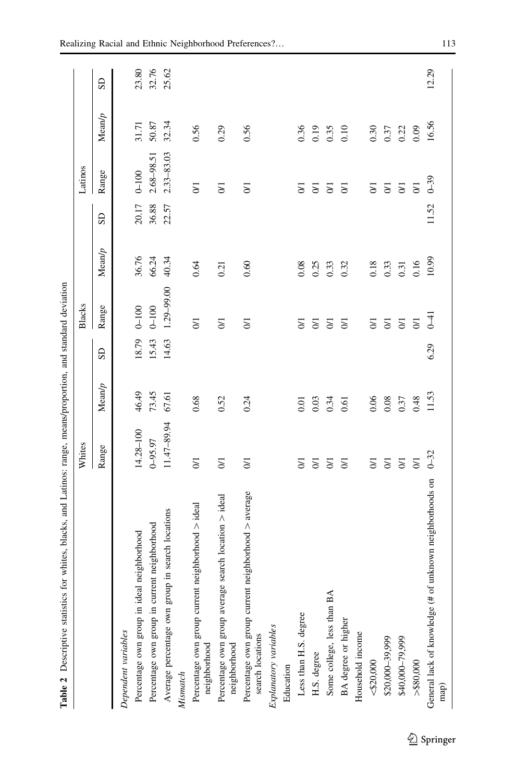<span id="page-12-0"></span>

| Table 2 Descriptive statistics for whites, blacks, and Latinos: range, means/proportion, and standard deviation |                     |        |       |                |        |           |                |        |           |
|-----------------------------------------------------------------------------------------------------------------|---------------------|--------|-------|----------------|--------|-----------|----------------|--------|-----------|
|                                                                                                                 | Whites              |        |       | <b>Blacks</b>  |        |           | Latinos        |        |           |
|                                                                                                                 | Range               | Mean/p | GS    | Range          | Mean/p | <b>GS</b> | Range          | Mean/p | <b>GS</b> |
| Dependent variables                                                                                             |                     |        |       |                |        |           |                |        |           |
| Percentage own group in ideal neighborhood                                                                      | 14.28-100           | 46.49  | 18.79 | $0 - 100$      | 36.76  | 20.17     | $0 - 100$      | 31.71  | 23.80     |
| Percentage own group in current neighborhood                                                                    | $0 - 95.97$         | 73.45  | 15.43 | $0 - 100$      | 66.24  | 36.88     | 2.68-98.51     | 50.87  | 32.76     |
| Average percentage own group in search locations                                                                | 11.47-89.94         | 67.61  | 14.63 | 1.29-99.00     | 40.34  | 22.57     | 2.33-83.03     | 32.34  | 25.62     |
| Mismatch                                                                                                        |                     |        |       |                |        |           |                |        |           |
| neighborhood > ideal<br>Percentage own group current<br>neighborhood                                            | $\overline{5}$      | 0.68   |       | $\overline{0}$ | 0.64   |           | $\overline{0}$ | 0.56   |           |
| search location $>$ ideal<br>Percentage own group average<br>neighborhood                                       | $\overline{5}$      | 0.52   |       | $\overline{0}$ | 0.21   |           | $\overline{5}$ | 0.29   |           |
| neighborhood > average<br>Percentage own group current<br>search locations                                      | $\overline{5}$      | 0.24   |       | $\overline{5}$ | 0.60   |           | $\overline{5}$ | 0.56   |           |
| Explanatory variables                                                                                           |                     |        |       |                |        |           |                |        |           |
| Education                                                                                                       |                     |        |       |                |        |           |                |        |           |
| Less than H.S. degree                                                                                           | $\overline{5}$      | 0.01   |       | $\overline{5}$ | 0.08   |           | $\overline{5}$ | 0.36   |           |
| H.S. degree                                                                                                     | $\overline{5}$      | 0.03   |       | $\overline{5}$ | 0.25   |           | $\overline{5}$ | 0.19   |           |
| Some college, less than BA                                                                                      | $\overline{5}$      | 0.34   |       | $\overline{5}$ | 0.33   |           | $\overline{5}$ | 0.35   |           |
| BA degree or higher                                                                                             | $\overline{5}$      | 0.61   |       | $\overline{5}$ | 0.32   |           | $\overline{5}$ | 0.10   |           |
| Household income                                                                                                |                     |        |       |                |        |           |                |        |           |
| $<\!\!\$20,\!000$                                                                                               | $\overline{\delta}$ | 0.06   |       | $\overline{5}$ | 0.18   |           | $\overline{5}$ | 0.30   |           |
| \$20,000-39,999                                                                                                 | $\overline{5}$      | 0.08   |       | $\overline{0}$ | 0.33   |           | $\overline{0}$ | 0.37   |           |
| \$40,000-79,999                                                                                                 | $\overline{5}$      | 0.37   |       | $\overline{0}$ | 0.31   |           | $\overline{0}$ | 0.22   |           |
| $>$ \$80,000                                                                                                    | $\overline{5}$      | 0.48   |       | $\overline{5}$ | 0.16   |           | $\overline{5}$ | 0.09   |           |
| unknown neighborhoods on<br>General lack of knowledge (# of<br>map)                                             | $0 - 32$            | 11.53  | 6.29  | $\overline{f}$ | 10.99  | 11.52     | $0 - 39$       | 16.56  | 12.29     |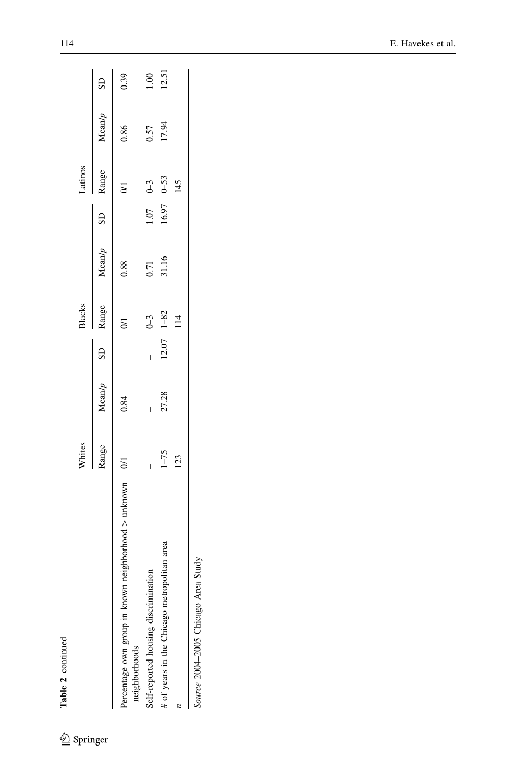| t |
|---|
|   |
|   |
|   |

 $\underline{\textcircled{\tiny 2}}$  Springer

|                                                                           | Whites   |       |                | Blacks         |                                                 |              | Latinos        |       |       |
|---------------------------------------------------------------------------|----------|-------|----------------|----------------|-------------------------------------------------|--------------|----------------|-------|-------|
|                                                                           |          |       |                |                | Range Mean/p SD Range Mean/p SD Range Mean/p SD |              |                |       |       |
| Percentage own group in known neighborhood > unknown 0/1<br>neighborhoods |          | 0.84  |                | $\overline{5}$ | 0.88                                            |              | $\overline{z}$ | 0.86  | 0.39  |
| Self-reported housing discrimination                                      |          |       |                | $0 - 3$        | 0.71                                            | $1.07$ $0-3$ |                | 0.57  | 1.00  |
| # of years in the Chicago metropolitan area                               | $1 - 75$ | 27.28 | $12.07$ $1-82$ |                | 31.16                                           | $16.97$ 0-53 |                | 17.94 | 12.51 |
|                                                                           | 123      |       |                | 114            |                                                 |              | 145            |       |       |
| $\ddot{c}$                                                                |          |       |                |                |                                                 |              |                |       |       |

Source 2004-2005 Chicago Area Study Source 2004–2005 Chicago Area Study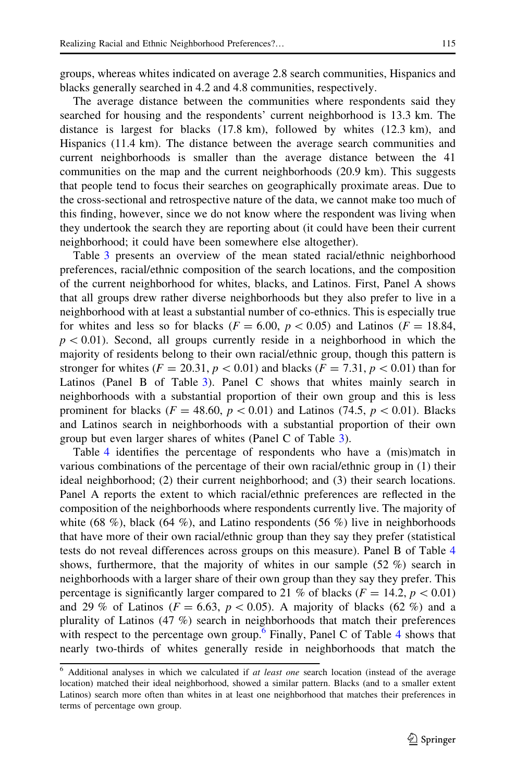groups, whereas whites indicated on average 2.8 search communities, Hispanics and blacks generally searched in 4.2 and 4.8 communities, respectively.

The average distance between the communities where respondents said they searched for housing and the respondents' current neighborhood is 13.3 km. The distance is largest for blacks (17.8 km), followed by whites (12.3 km), and Hispanics (11.4 km). The distance between the average search communities and current neighborhoods is smaller than the average distance between the 41 communities on the map and the current neighborhoods (20.9 km). This suggests that people tend to focus their searches on geographically proximate areas. Due to the cross-sectional and retrospective nature of the data, we cannot make too much of this finding, however, since we do not know where the respondent was living when they undertook the search they are reporting about (it could have been their current neighborhood; it could have been somewhere else altogether).

Table [3](#page-15-0) presents an overview of the mean stated racial/ethnic neighborhood preferences, racial/ethnic composition of the search locations, and the composition of the current neighborhood for whites, blacks, and Latinos. First, Panel A shows that all groups drew rather diverse neighborhoods but they also prefer to live in a neighborhood with at least a substantial number of co-ethnics. This is especially true for whites and less so for blacks ( $F = 6.00$ ,  $p < 0.05$ ) and Latinos ( $F = 18.84$ ,  $p<0.01$ ). Second, all groups currently reside in a neighborhood in which the majority of residents belong to their own racial/ethnic group, though this pattern is stronger for whites ( $F = 20.31$ ,  $p < 0.01$ ) and blacks ( $F = 7.31$ ,  $p < 0.01$ ) than for Latinos (Panel B of Table [3](#page-15-0)). Panel C shows that whites mainly search in neighborhoods with a substantial proportion of their own group and this is less prominent for blacks ( $F = 48.60, p \lt 0.01$ ) and Latinos (74.5,  $p \lt 0.01$ ). Blacks and Latinos search in neighborhoods with a substantial proportion of their own group but even larger shares of whites (Panel C of Table [3\)](#page-15-0).

Table [4](#page-15-0) identifies the percentage of respondents who have a (mis)match in various combinations of the percentage of their own racial/ethnic group in (1) their ideal neighborhood; (2) their current neighborhood; and (3) their search locations. Panel A reports the extent to which racial/ethnic preferences are reflected in the composition of the neighborhoods where respondents currently live. The majority of white (68 %), black (64 %), and Latino respondents (56 %) live in neighborhoods that have more of their own racial/ethnic group than they say they prefer (statistical tests do not reveal differences across groups on this measure). Panel B of Table [4](#page-15-0) shows, furthermore, that the majority of whites in our sample  $(52 \%)$  search in neighborhoods with a larger share of their own group than they say they prefer. This percentage is significantly larger compared to 21 % of blacks ( $F = 14.2, p < 0.01$ ) and 29 % of Latinos ( $F = 6.63$ ,  $p < 0.05$ ). A majority of blacks (62 %) and a plurality of Latinos (47 %) search in neighborhoods that match their preferences with respect to the percentage own group.<sup>6</sup> Finally, Panel C of Table [4](#page-15-0) shows that nearly two-thirds of whites generally reside in neighborhoods that match the

 $6$  Additional analyses in which we calculated if at least one search location (instead of the average location) matched their ideal neighborhood, showed a similar pattern. Blacks (and to a smaller extent Latinos) search more often than whites in at least one neighborhood that matches their preferences in terms of percentage own group.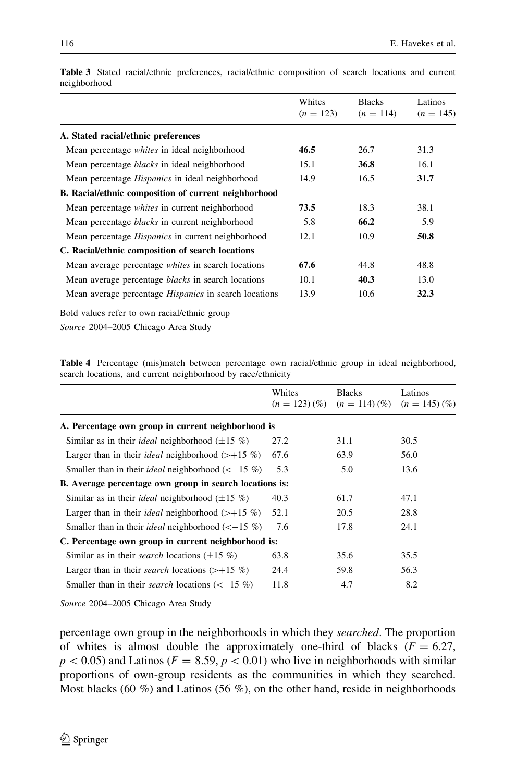|                                                              | Whites<br>$(n = 123)$ | <b>Blacks</b><br>$(n = 114)$ | Latinos<br>$(n = 145)$ |
|--------------------------------------------------------------|-----------------------|------------------------------|------------------------|
| A. Stated racial/ethnic preferences                          |                       |                              |                        |
| Mean percentage <i>whites</i> in ideal neighborhood          | 46.5                  | 26.7                         | 31.3                   |
| Mean percentage <i>blacks</i> in ideal neighborhood          | 15.1                  | 36.8                         | 16.1                   |
| Mean percentage <i>Hispanics</i> in ideal neighborhood       | 14.9                  | 16.5                         | 31.7                   |
| B. Racial/ethnic composition of current neighborhood         |                       |                              |                        |
| Mean percentage <i>whites</i> in current neighborhood        | 73.5                  | 18.3                         | 38.1                   |
| Mean percentage <i>blacks</i> in current neighborhood        | 5.8                   | 66.2                         | 5.9                    |
| Mean percentage <i>Hispanics</i> in current neighborhood     | 12.1                  | 10.9                         | 50.8                   |
| C. Racial/ethnic composition of search locations             |                       |                              |                        |
| Mean average percentage whites in search locations           | 67.6                  | 44.8                         | 48.8                   |
| Mean average percentage <i>blacks</i> in search locations    | 10.1                  | 40.3                         | 13.0                   |
| Mean average percentage <i>Hispanics</i> in search locations | 13.9                  | 10.6                         | 32.3                   |

<span id="page-15-0"></span>Table 3 Stated racial/ethnic preferences, racial/ethnic composition of search locations and current neighborhood

Bold values refer to own racial/ethnic group

Source 2004–2005 Chicago Area Study

Table 4 Percentage (mis)match between percentage own racial/ethnic group in ideal neighborhood, search locations, and current neighborhood by race/ethnicity

|                                                                          | Whites<br>$(n = 123)(\%)$ | <b>Blacks</b><br>$(n = 114)$ $(\%)$ | Latinos<br>$(n = 145)$ $(\%)$ |
|--------------------------------------------------------------------------|---------------------------|-------------------------------------|-------------------------------|
| A. Percentage own group in current neighborhood is                       |                           |                                     |                               |
| Similar as in their <i>ideal</i> neighborhood $(\pm 15 \%)$              | 27.2                      | 31.1                                | 30.5                          |
| Larger than in their <i>ideal</i> neighborhood $(\geq +15\%)$            | 67.6                      | 63.9                                | 56.0                          |
| Smaller than in their <i>ideal</i> neighborhood $(< -15\%$ )             | 5.3                       | 5.0                                 | 13.6                          |
| B. Average percentage own group in search locations is:                  |                           |                                     |                               |
| Similar as in their <i>ideal</i> neighborhood $(\pm 15\%)$               | 40.3                      | 61.7                                | 47.1                          |
| Larger than in their <i>ideal</i> neighborhood $(\geq +15\%)$            | 52.1                      | 20.5                                | 28.8                          |
| Smaller than in their <i>ideal</i> neighborhood $(< -15\%$ )             | 7.6                       | 17.8                                | 24.1                          |
| C. Percentage own group in current neighborhood is:                      |                           |                                     |                               |
| Similar as in their <i>search</i> locations $(\pm 15 \%)$                | 63.8                      | 35.6                                | 35.5                          |
| Larger than in their <i>search</i> locations $(\geq +15 \%)$             | 24.4                      | 59.8                                | 56.3                          |
| Smaller than in their <i>search</i> locations $\left(\leq -15\% \right)$ | 11.8                      | 4.7                                 | 8.2                           |
|                                                                          |                           |                                     |                               |

Source 2004–2005 Chicago Area Study

percentage own group in the neighborhoods in which they searched. The proportion of whites is almost double the approximately one-third of blacks ( $F = 6.27$ ,  $p\lt 0.05$ ) and Latinos ( $F = 8.59$ ,  $p\lt 0.01$ ) who live in neighborhoods with similar proportions of own-group residents as the communities in which they searched. Most blacks (60  $\%$ ) and Latinos (56  $\%$ ), on the other hand, reside in neighborhoods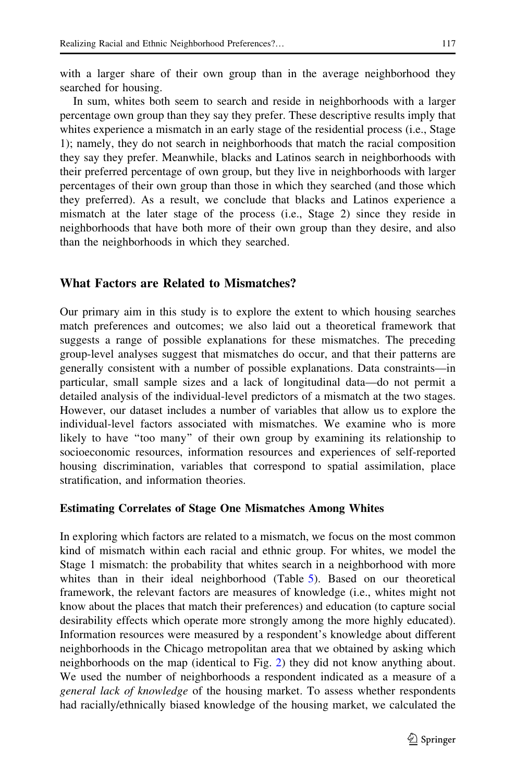with a larger share of their own group than in the average neighborhood they searched for housing.

In sum, whites both seem to search and reside in neighborhoods with a larger percentage own group than they say they prefer. These descriptive results imply that whites experience a mismatch in an early stage of the residential process (i.e., Stage 1); namely, they do not search in neighborhoods that match the racial composition they say they prefer. Meanwhile, blacks and Latinos search in neighborhoods with their preferred percentage of own group, but they live in neighborhoods with larger percentages of their own group than those in which they searched (and those which they preferred). As a result, we conclude that blacks and Latinos experience a mismatch at the later stage of the process (i.e., Stage 2) since they reside in neighborhoods that have both more of their own group than they desire, and also than the neighborhoods in which they searched.

### What Factors are Related to Mismatches?

Our primary aim in this study is to explore the extent to which housing searches match preferences and outcomes; we also laid out a theoretical framework that suggests a range of possible explanations for these mismatches. The preceding group-level analyses suggest that mismatches do occur, and that their patterns are generally consistent with a number of possible explanations. Data constraints—in particular, small sample sizes and a lack of longitudinal data—do not permit a detailed analysis of the individual-level predictors of a mismatch at the two stages. However, our dataset includes a number of variables that allow us to explore the individual-level factors associated with mismatches. We examine who is more likely to have ''too many'' of their own group by examining its relationship to socioeconomic resources, information resources and experiences of self-reported housing discrimination, variables that correspond to spatial assimilation, place stratification, and information theories.

#### Estimating Correlates of Stage One Mismatches Among Whites

In exploring which factors are related to a mismatch, we focus on the most common kind of mismatch within each racial and ethnic group. For whites, we model the Stage 1 mismatch: the probability that whites search in a neighborhood with more whites than in their ideal neighborhood (Table [5](#page-17-0)). Based on our theoretical framework, the relevant factors are measures of knowledge (i.e., whites might not know about the places that match their preferences) and education (to capture social desirability effects which operate more strongly among the more highly educated). Information resources were measured by a respondent's knowledge about different neighborhoods in the Chicago metropolitan area that we obtained by asking which neighborhoods on the map (identical to Fig. [2\)](#page-9-0) they did not know anything about. We used the number of neighborhoods a respondent indicated as a measure of a general lack of knowledge of the housing market. To assess whether respondents had racially/ethnically biased knowledge of the housing market, we calculated the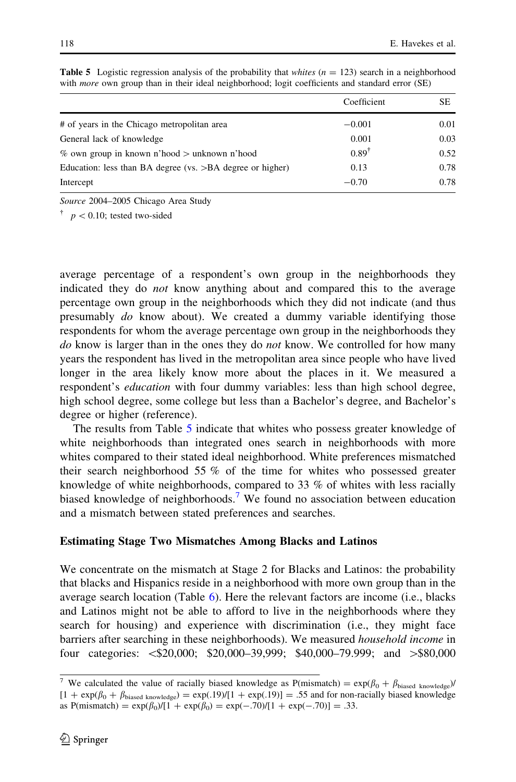|                                                           | Coefficient      | SЕ   |
|-----------------------------------------------------------|------------------|------|
| # of years in the Chicago metropolitan area               | $-0.001$         | 0.01 |
| General lack of knowledge                                 | 0.001            | 0.03 |
| $\%$ own group in known n'hood $>$ unknown n'hood         | $0.89^{\dagger}$ | 0.52 |
| Education: less than BA degree (vs. >BA degree or higher) | 0.13             | 0.78 |
| Intercept                                                 | $-0.70$          | 0.78 |

<span id="page-17-0"></span>**Table 5** Logistic regression analysis of the probability that whites  $(n = 123)$  search in a neighborhood with *more* own group than in their ideal neighborhood; logit coefficients and standard error (SE)

Source 2004–2005 Chicago Area Study

 $\uparrow$   $p < 0.10$ ; tested two-sided

average percentage of a respondent's own group in the neighborhoods they indicated they do not know anything about and compared this to the average percentage own group in the neighborhoods which they did not indicate (and thus presumably do know about). We created a dummy variable identifying those respondents for whom the average percentage own group in the neighborhoods they do know is larger than in the ones they do *not* know. We controlled for how many years the respondent has lived in the metropolitan area since people who have lived longer in the area likely know more about the places in it. We measured a respondent's *education* with four dummy variables: less than high school degree, high school degree, some college but less than a Bachelor's degree, and Bachelor's degree or higher (reference).

The results from Table 5 indicate that whites who possess greater knowledge of white neighborhoods than integrated ones search in neighborhoods with more whites compared to their stated ideal neighborhood. White preferences mismatched their search neighborhood 55 % of the time for whites who possessed greater knowledge of white neighborhoods, compared to 33 % of whites with less racially biased knowledge of neighborhoods.<sup>7</sup> We found no association between education and a mismatch between stated preferences and searches.

#### Estimating Stage Two Mismatches Among Blacks and Latinos

We concentrate on the mismatch at Stage 2 for Blacks and Latinos: the probability that blacks and Hispanics reside in a neighborhood with more own group than in the average search location (Table [6](#page-18-0)). Here the relevant factors are income (i.e., blacks and Latinos might not be able to afford to live in the neighborhoods where they search for housing) and experience with discrimination (i.e., they might face barriers after searching in these neighborhoods). We measured household income in four categories:  $\leq 20,000$ ; \$20,000–39,999; \$40,000–79.999; and  $\geq$ \$80,000

<sup>&</sup>lt;sup>7</sup> We calculated the value of racially biased knowledge as  $P(mismatch) = \exp(\beta_0 + \beta_{biased~knowledge})/$  $[1 + \exp(\beta_0 + \beta_{biased knowledge}) = \exp(.19)/[1 + \exp(.19)] = .55$  and for non-racially biased knowledge as  $P(mismatch) = \exp(\beta_0)/[1 + \exp(\beta_0) = \exp(-.70)/[1 + \exp(-.70)] = .33$ .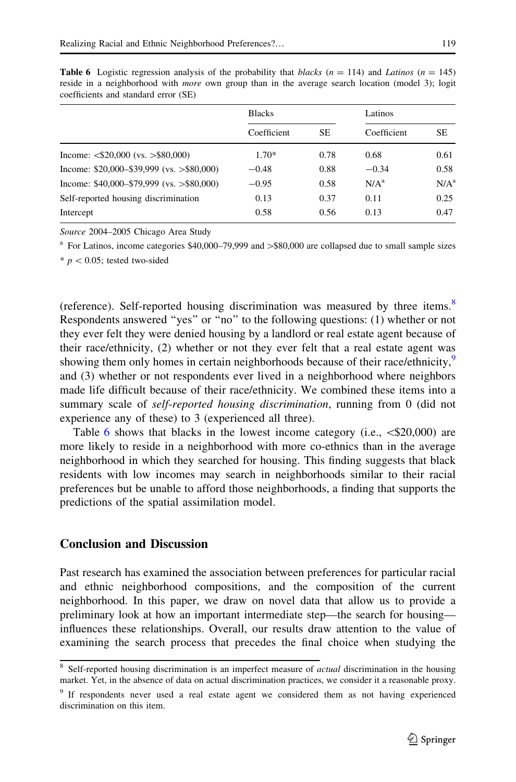|                                             | <b>Blacks</b> |      | Latinos          |                  |
|---------------------------------------------|---------------|------|------------------|------------------|
|                                             | Coefficient   | SE.  | Coefficient      | SE.              |
| Income: $\langle$ \$20,000 (vs. >\$80,000)  | $1.70*$       | 0.78 | 0.68             | 0.61             |
| Income: $$20,000 - $39,999$ (vs. >\$80,000) | $-0.48$       | 0.88 | $-0.34$          | 0.58             |
| Income: $$40,000 - $79,999$ (vs. >\$80,000) | $-0.95$       | 0.58 | N/A <sup>a</sup> | N/A <sup>a</sup> |
| Self-reported housing discrimination        | 0.13          | 0.37 | 0.11             | 0.25             |
| Intercept                                   | 0.58          | 0.56 | 0.13             | 0.47             |

<span id="page-18-0"></span>**Table 6** Logistic regression analysis of the probability that blacks ( $n = 114$ ) and Latinos ( $n = 145$ ) reside in a neighborhood with *more* own group than in the average search location (model 3); logit coefficients and standard error (SE)

Source 2004–2005 Chicago Area Study

 $^{\circ}$  For Latinos, income categories \$40,000–79,999 and  $>$ \$80,000 are collapsed due to small sample sizes

 $* p < 0.05$ ; tested two-sided

(reference). Self-reported housing discrimination was measured by three items.<sup>8</sup> Respondents answered ''yes'' or ''no'' to the following questions: (1) whether or not they ever felt they were denied housing by a landlord or real estate agent because of their race/ethnicity, (2) whether or not they ever felt that a real estate agent was showing them only homes in certain neighborhoods because of their race/ethnicity,<sup>9</sup> and (3) whether or not respondents ever lived in a neighborhood where neighbors made life difficult because of their race/ethnicity. We combined these items into a summary scale of *self-reported housing discrimination*, running from 0 (did not experience any of these) to 3 (experienced all three).

Table 6 shows that blacks in the lowest income category (i.e.,  $\leq 20,000$ ) are more likely to reside in a neighborhood with more co-ethnics than in the average neighborhood in which they searched for housing. This finding suggests that black residents with low incomes may search in neighborhoods similar to their racial preferences but be unable to afford those neighborhoods, a finding that supports the predictions of the spatial assimilation model.

# Conclusion and Discussion

Past research has examined the association between preferences for particular racial and ethnic neighborhood compositions, and the composition of the current neighborhood. In this paper, we draw on novel data that allow us to provide a preliminary look at how an important intermediate step—the search for housing influences these relationships. Overall, our results draw attention to the value of examining the search process that precedes the final choice when studying the

<sup>&</sup>lt;sup>8</sup> Self-reported housing discrimination is an imperfect measure of *actual* discrimination in the housing market. Yet, in the absence of data on actual discrimination practices, we consider it a reasonable proxy.

<sup>&</sup>lt;sup>9</sup> If respondents never used a real estate agent we considered them as not having experienced discrimination on this item.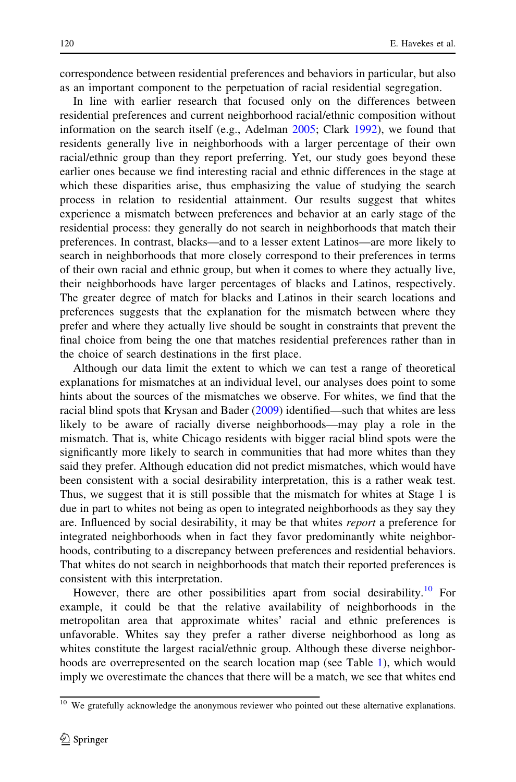correspondence between residential preferences and behaviors in particular, but also as an important component to the perpetuation of racial residential segregation.

In line with earlier research that focused only on the differences between residential preferences and current neighborhood racial/ethnic composition without information on the search itself (e.g., Adelman [2005](#page-23-0); Clark [1992](#page-24-0)), we found that residents generally live in neighborhoods with a larger percentage of their own racial/ethnic group than they report preferring. Yet, our study goes beyond these earlier ones because we find interesting racial and ethnic differences in the stage at which these disparities arise, thus emphasizing the value of studying the search process in relation to residential attainment. Our results suggest that whites experience a mismatch between preferences and behavior at an early stage of the residential process: they generally do not search in neighborhoods that match their preferences. In contrast, blacks—and to a lesser extent Latinos—are more likely to search in neighborhoods that more closely correspond to their preferences in terms of their own racial and ethnic group, but when it comes to where they actually live, their neighborhoods have larger percentages of blacks and Latinos, respectively. The greater degree of match for blacks and Latinos in their search locations and preferences suggests that the explanation for the mismatch between where they prefer and where they actually live should be sought in constraints that prevent the final choice from being the one that matches residential preferences rather than in the choice of search destinations in the first place.

Although our data limit the extent to which we can test a range of theoretical explanations for mismatches at an individual level, our analyses does point to some hints about the sources of the mismatches we observe. For whites, we find that the racial blind spots that Krysan and Bader ([2009\)](#page-24-0) identified—such that whites are less likely to be aware of racially diverse neighborhoods—may play a role in the mismatch. That is, white Chicago residents with bigger racial blind spots were the significantly more likely to search in communities that had more whites than they said they prefer. Although education did not predict mismatches, which would have been consistent with a social desirability interpretation, this is a rather weak test. Thus, we suggest that it is still possible that the mismatch for whites at Stage 1 is due in part to whites not being as open to integrated neighborhoods as they say they are. Influenced by social desirability, it may be that whites report a preference for integrated neighborhoods when in fact they favor predominantly white neighborhoods, contributing to a discrepancy between preferences and residential behaviors. That whites do not search in neighborhoods that match their reported preferences is consistent with this interpretation.

However, there are other possibilities apart from social desirability.<sup>10</sup> For example, it could be that the relative availability of neighborhoods in the metropolitan area that approximate whites' racial and ethnic preferences is unfavorable. Whites say they prefer a rather diverse neighborhood as long as whites constitute the largest racial/ethnic group. Although these diverse neighborhoods are overrepresented on the search location map (see Table [1](#page-10-0)), which would imply we overestimate the chances that there will be a match, we see that whites end

<sup>&</sup>lt;sup>10</sup> We gratefully acknowledge the anonymous reviewer who pointed out these alternative explanations.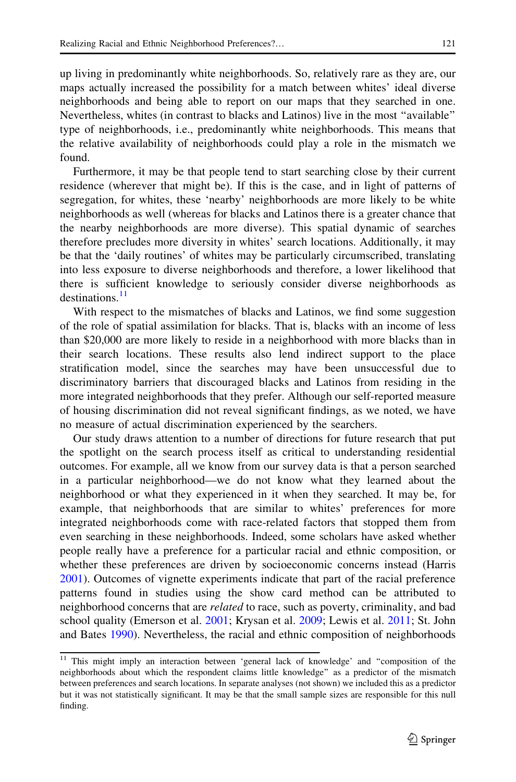up living in predominantly white neighborhoods. So, relatively rare as they are, our maps actually increased the possibility for a match between whites' ideal diverse neighborhoods and being able to report on our maps that they searched in one. Nevertheless, whites (in contrast to blacks and Latinos) live in the most ''available'' type of neighborhoods, i.e., predominantly white neighborhoods. This means that the relative availability of neighborhoods could play a role in the mismatch we found.

Furthermore, it may be that people tend to start searching close by their current residence (wherever that might be). If this is the case, and in light of patterns of segregation, for whites, these 'nearby' neighborhoods are more likely to be white neighborhoods as well (whereas for blacks and Latinos there is a greater chance that the nearby neighborhoods are more diverse). This spatial dynamic of searches therefore precludes more diversity in whites' search locations. Additionally, it may be that the 'daily routines' of whites may be particularly circumscribed, translating into less exposure to diverse neighborhoods and therefore, a lower likelihood that there is sufficient knowledge to seriously consider diverse neighborhoods as  $destinations<sup>11</sup>$ 

With respect to the mismatches of blacks and Latinos, we find some suggestion of the role of spatial assimilation for blacks. That is, blacks with an income of less than \$20,000 are more likely to reside in a neighborhood with more blacks than in their search locations. These results also lend indirect support to the place stratification model, since the searches may have been unsuccessful due to discriminatory barriers that discouraged blacks and Latinos from residing in the more integrated neighborhoods that they prefer. Although our self-reported measure of housing discrimination did not reveal significant findings, as we noted, we have no measure of actual discrimination experienced by the searchers.

Our study draws attention to a number of directions for future research that put the spotlight on the search process itself as critical to understanding residential outcomes. For example, all we know from our survey data is that a person searched in a particular neighborhood—we do not know what they learned about the neighborhood or what they experienced in it when they searched. It may be, for example, that neighborhoods that are similar to whites' preferences for more integrated neighborhoods come with race-related factors that stopped them from even searching in these neighborhoods. Indeed, some scholars have asked whether people really have a preference for a particular racial and ethnic composition, or whether these preferences are driven by socioeconomic concerns instead (Harris [2001\)](#page-24-0). Outcomes of vignette experiments indicate that part of the racial preference patterns found in studies using the show card method can be attributed to neighborhood concerns that are *related* to race, such as poverty, criminality, and bad school quality (Emerson et al. [2001;](#page-24-0) Krysan et al. [2009;](#page-25-0) Lewis et al. [2011](#page-25-0); St. John and Bates [1990\)](#page-25-0). Nevertheless, the racial and ethnic composition of neighborhoods

<sup>&</sup>lt;sup>11</sup> This might imply an interaction between 'general lack of knowledge' and "composition of the neighborhoods about which the respondent claims little knowledge'' as a predictor of the mismatch between preferences and search locations. In separate analyses (not shown) we included this as a predictor but it was not statistically significant. It may be that the small sample sizes are responsible for this null finding.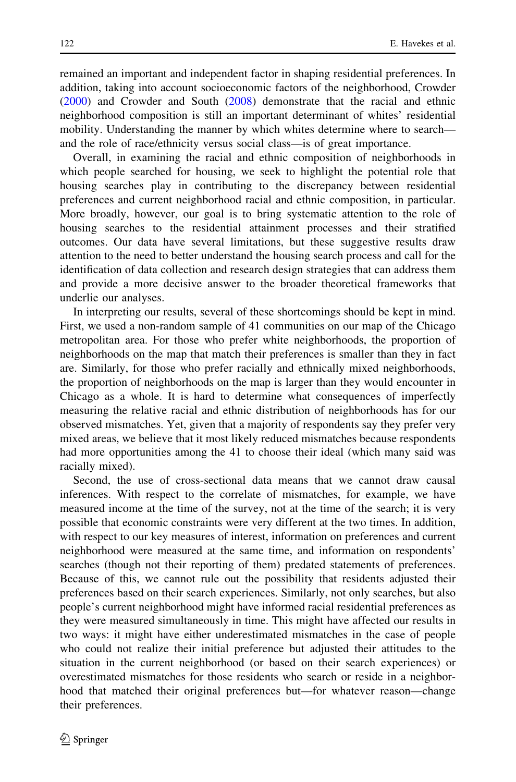remained an important and independent factor in shaping residential preferences. In addition, taking into account socioeconomic factors of the neighborhood, Crowder [\(2000](#page-24-0)) and Crowder and South [\(2008](#page-24-0)) demonstrate that the racial and ethnic neighborhood composition is still an important determinant of whites' residential mobility. Understanding the manner by which whites determine where to search and the role of race/ethnicity versus social class—is of great importance.

Overall, in examining the racial and ethnic composition of neighborhoods in which people searched for housing, we seek to highlight the potential role that housing searches play in contributing to the discrepancy between residential preferences and current neighborhood racial and ethnic composition, in particular. More broadly, however, our goal is to bring systematic attention to the role of housing searches to the residential attainment processes and their stratified outcomes. Our data have several limitations, but these suggestive results draw attention to the need to better understand the housing search process and call for the identification of data collection and research design strategies that can address them and provide a more decisive answer to the broader theoretical frameworks that underlie our analyses.

In interpreting our results, several of these shortcomings should be kept in mind. First, we used a non-random sample of 41 communities on our map of the Chicago metropolitan area. For those who prefer white neighborhoods, the proportion of neighborhoods on the map that match their preferences is smaller than they in fact are. Similarly, for those who prefer racially and ethnically mixed neighborhoods, the proportion of neighborhoods on the map is larger than they would encounter in Chicago as a whole. It is hard to determine what consequences of imperfectly measuring the relative racial and ethnic distribution of neighborhoods has for our observed mismatches. Yet, given that a majority of respondents say they prefer very mixed areas, we believe that it most likely reduced mismatches because respondents had more opportunities among the 41 to choose their ideal (which many said was racially mixed).

Second, the use of cross-sectional data means that we cannot draw causal inferences. With respect to the correlate of mismatches, for example, we have measured income at the time of the survey, not at the time of the search; it is very possible that economic constraints were very different at the two times. In addition, with respect to our key measures of interest, information on preferences and current neighborhood were measured at the same time, and information on respondents' searches (though not their reporting of them) predated statements of preferences. Because of this, we cannot rule out the possibility that residents adjusted their preferences based on their search experiences. Similarly, not only searches, but also people's current neighborhood might have informed racial residential preferences as they were measured simultaneously in time. This might have affected our results in two ways: it might have either underestimated mismatches in the case of people who could not realize their initial preference but adjusted their attitudes to the situation in the current neighborhood (or based on their search experiences) or overestimated mismatches for those residents who search or reside in a neighborhood that matched their original preferences but—for whatever reason—change their preferences.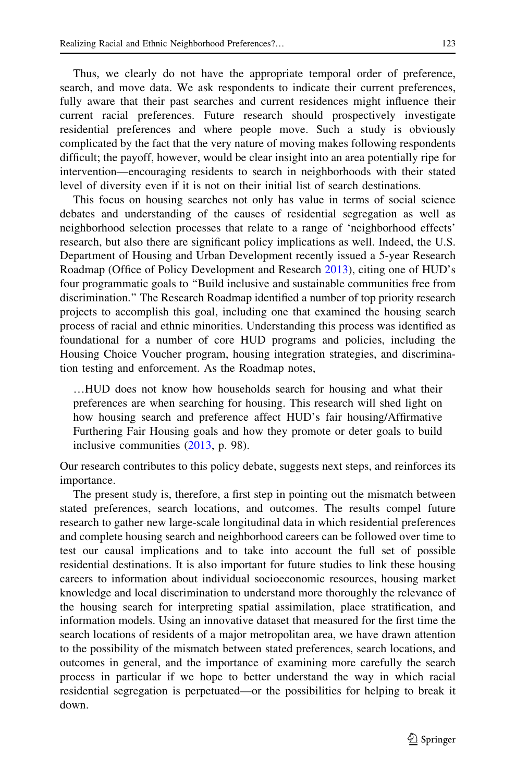Thus, we clearly do not have the appropriate temporal order of preference, search, and move data. We ask respondents to indicate their current preferences, fully aware that their past searches and current residences might influence their current racial preferences. Future research should prospectively investigate residential preferences and where people move. Such a study is obviously complicated by the fact that the very nature of moving makes following respondents difficult; the payoff, however, would be clear insight into an area potentially ripe for intervention—encouraging residents to search in neighborhoods with their stated level of diversity even if it is not on their initial list of search destinations.

This focus on housing searches not only has value in terms of social science debates and understanding of the causes of residential segregation as well as neighborhood selection processes that relate to a range of 'neighborhood effects' research, but also there are significant policy implications as well. Indeed, the U.S. Department of Housing and Urban Development recently issued a 5-year Research Roadmap (Office of Policy Development and Research [2013\)](#page-25-0), citing one of HUD's four programmatic goals to ''Build inclusive and sustainable communities free from discrimination.'' The Research Roadmap identified a number of top priority research projects to accomplish this goal, including one that examined the housing search process of racial and ethnic minorities. Understanding this process was identified as foundational for a number of core HUD programs and policies, including the Housing Choice Voucher program, housing integration strategies, and discrimination testing and enforcement. As the Roadmap notes,

…HUD does not know how households search for housing and what their preferences are when searching for housing. This research will shed light on how housing search and preference affect HUD's fair housing/Affirmative Furthering Fair Housing goals and how they promote or deter goals to build inclusive communities [\(2013](#page-25-0), p. 98).

Our research contributes to this policy debate, suggests next steps, and reinforces its importance.

The present study is, therefore, a first step in pointing out the mismatch between stated preferences, search locations, and outcomes. The results compel future research to gather new large-scale longitudinal data in which residential preferences and complete housing search and neighborhood careers can be followed over time to test our causal implications and to take into account the full set of possible residential destinations. It is also important for future studies to link these housing careers to information about individual socioeconomic resources, housing market knowledge and local discrimination to understand more thoroughly the relevance of the housing search for interpreting spatial assimilation, place stratification, and information models. Using an innovative dataset that measured for the first time the search locations of residents of a major metropolitan area, we have drawn attention to the possibility of the mismatch between stated preferences, search locations, and outcomes in general, and the importance of examining more carefully the search process in particular if we hope to better understand the way in which racial residential segregation is perpetuated—or the possibilities for helping to break it down.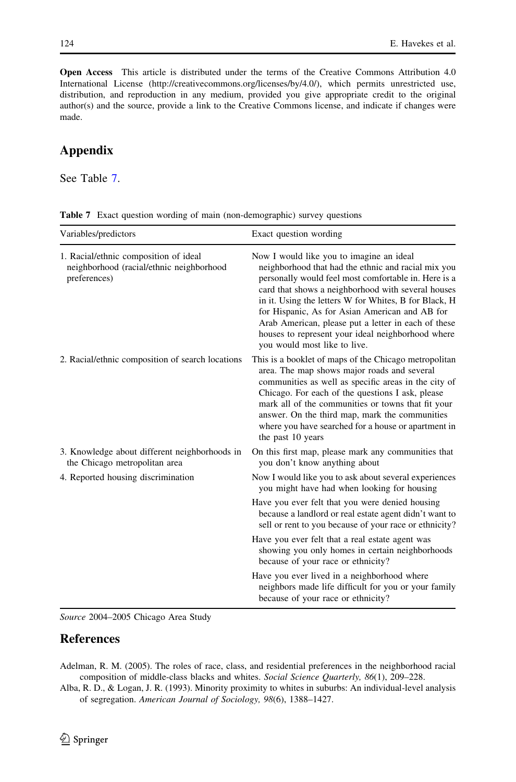<span id="page-23-0"></span>Open Access This article is distributed under the terms of the Creative Commons Attribution 4.0 International License (http://creativecommons.org/licenses/by/4.0/), which permits unrestricted use, distribution, and reproduction in any medium, provided you give appropriate credit to the original author(s) and the source, provide a link to the Creative Commons license, and indicate if changes were made.

# Appendix

See Table 7.

| Variables/predictors                                                                              | Exact question wording                                                                                                                                                                                                                                                                                                                                                                                                                                               |
|---------------------------------------------------------------------------------------------------|----------------------------------------------------------------------------------------------------------------------------------------------------------------------------------------------------------------------------------------------------------------------------------------------------------------------------------------------------------------------------------------------------------------------------------------------------------------------|
| 1. Racial/ethnic composition of ideal<br>neighborhood (racial/ethnic neighborhood<br>preferences) | Now I would like you to imagine an ideal<br>neighborhood that had the ethnic and racial mix you<br>personally would feel most comfortable in. Here is a<br>card that shows a neighborhood with several houses<br>in it. Using the letters W for Whites, B for Black, H<br>for Hispanic, As for Asian American and AB for<br>Arab American, please put a letter in each of these<br>houses to represent your ideal neighborhood where<br>you would most like to live. |
| 2. Racial/ethnic composition of search locations                                                  | This is a booklet of maps of the Chicago metropolitan<br>area. The map shows major roads and several<br>communities as well as specific areas in the city of<br>Chicago. For each of the questions I ask, please<br>mark all of the communities or towns that fit your<br>answer. On the third map, mark the communities<br>where you have searched for a house or apartment in<br>the past 10 years                                                                 |
| 3. Knowledge about different neighborhoods in<br>the Chicago metropolitan area                    | On this first map, please mark any communities that<br>you don't know anything about                                                                                                                                                                                                                                                                                                                                                                                 |
| 4. Reported housing discrimination                                                                | Now I would like you to ask about several experiences<br>you might have had when looking for housing                                                                                                                                                                                                                                                                                                                                                                 |
|                                                                                                   | Have you ever felt that you were denied housing<br>because a landlord or real estate agent didn't want to<br>sell or rent to you because of your race or ethnicity?                                                                                                                                                                                                                                                                                                  |
|                                                                                                   | Have you ever felt that a real estate agent was<br>showing you only homes in certain neighborhoods<br>because of your race or ethnicity?                                                                                                                                                                                                                                                                                                                             |
|                                                                                                   | Have you ever lived in a neighborhood where<br>neighbors made life difficult for you or your family<br>because of your race or ethnicity?                                                                                                                                                                                                                                                                                                                            |

|  |  |  |  |  | <b>Table 7</b> Exact question wording of main (non-demographic) survey questions |  |  |
|--|--|--|--|--|----------------------------------------------------------------------------------|--|--|
|--|--|--|--|--|----------------------------------------------------------------------------------|--|--|

Source 2004–2005 Chicago Area Study

# **References**

Adelman, R. M. (2005). The roles of race, class, and residential preferences in the neighborhood racial composition of middle-class blacks and whites. Social Science Quarterly, 86(1), 209–228.

Alba, R. D., & Logan, J. R. (1993). Minority proximity to whites in suburbs: An individual-level analysis of segregation. American Journal of Sociology, 98(6), 1388–1427.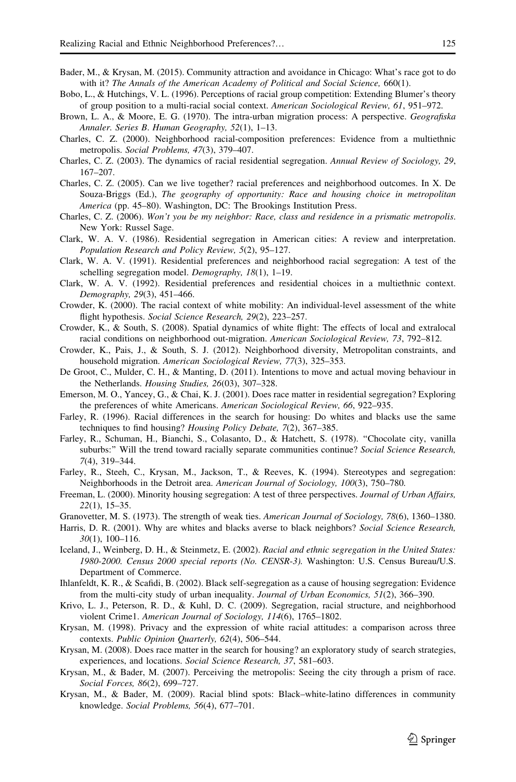- <span id="page-24-0"></span>Bader, M., & Krysan, M. (2015). Community attraction and avoidance in Chicago: What's race got to do with it? The Annals of the American Academy of Political and Social Science, 660(1).
- Bobo, L., & Hutchings, V. L. (1996). Perceptions of racial group competition: Extending Blumer's theory of group position to a multi-racial social context. American Sociological Review, 61, 951–972.
- Brown, L. A., & Moore, E. G. (1970). The intra-urban migration process: A perspective. Geografiska Annaler. Series B. Human Geography, 52(1), 1–13.
- Charles, C. Z. (2000). Neighborhood racial-composition preferences: Evidence from a multiethnic metropolis. Social Problems, 47(3), 379–407.
- Charles, C. Z. (2003). The dynamics of racial residential segregation. Annual Review of Sociology, 29, 167–207.
- Charles, C. Z. (2005). Can we live together? racial preferences and neighborhood outcomes. In X. De Souza-Briggs (Ed.), The geography of opportunity: Race and housing choice in metropolitan America (pp. 45–80). Washington, DC: The Brookings Institution Press.
- Charles, C. Z. (2006). Won't you be my neighbor: Race, class and residence in a prismatic metropolis. New York: Russel Sage.
- Clark, W. A. V. (1986). Residential segregation in American cities: A review and interpretation. Population Research and Policy Review, 5(2), 95–127.
- Clark, W. A. V. (1991). Residential preferences and neighborhood racial segregation: A test of the schelling segregation model. Demography, 18(1), 1–19.
- Clark, W. A. V. (1992). Residential preferences and residential choices in a multiethnic context. Demography, 29(3), 451–466.
- Crowder, K. (2000). The racial context of white mobility: An individual-level assessment of the white flight hypothesis. Social Science Research, 29(2), 223–257.
- Crowder, K., & South, S. (2008). Spatial dynamics of white flight: The effects of local and extralocal racial conditions on neighborhood out-migration. American Sociological Review, 73, 792–812.
- Crowder, K., Pais, J., & South, S. J. (2012). Neighborhood diversity, Metropolitan constraints, and household migration. American Sociological Review, 77(3), 325–353.
- De Groot, C., Mulder, C. H., & Manting, D. (2011). Intentions to move and actual moving behaviour in the Netherlands. Housing Studies, 26(03), 307–328.
- Emerson, M. O., Yancey, G., & Chai, K. J. (2001). Does race matter in residential segregation? Exploring the preferences of white Americans. American Sociological Review, 66, 922–935.
- Farley, R. (1996). Racial differences in the search for housing: Do whites and blacks use the same techniques to find housing? Housing Policy Debate, 7(2), 367–385.
- Farley, R., Schuman, H., Bianchi, S., Colasanto, D., & Hatchett, S. (1978). ''Chocolate city, vanilla suburbs:" Will the trend toward racially separate communities continue? Social Science Research, 7(4), 319–344.
- Farley, R., Steeh, C., Krysan, M., Jackson, T., & Reeves, K. (1994). Stereotypes and segregation: Neighborhoods in the Detroit area. American Journal of Sociology, 100(3), 750–780.
- Freeman, L. (2000). Minority housing segregation: A test of three perspectives. Journal of Urban Affairs, 22(1), 15–35.
- Granovetter, M. S. (1973). The strength of weak ties. American Journal of Sociology, 78(6), 1360–1380.
- Harris, D. R. (2001). Why are whites and blacks averse to black neighbors? Social Science Research, 30(1), 100–116.
- Iceland, J., Weinberg, D. H., & Steinmetz, E. (2002). Racial and ethnic segregation in the United States: 1980-2000. Census 2000 special reports (No. CENSR-3). Washington: U.S. Census Bureau/U.S. Department of Commerce.
- Ihlanfeldt, K. R., & Scafidi, B. (2002). Black self-segregation as a cause of housing segregation: Evidence from the multi-city study of urban inequality. Journal of Urban Economics, 51(2), 366–390.
- Krivo, L. J., Peterson, R. D., & Kuhl, D. C. (2009). Segregation, racial structure, and neighborhood violent Crime1. American Journal of Sociology, 114(6), 1765–1802.
- Krysan, M. (1998). Privacy and the expression of white racial attitudes: a comparison across three contexts. Public Opinion Quarterly, 62(4), 506–544.
- Krysan, M. (2008). Does race matter in the search for housing? an exploratory study of search strategies, experiences, and locations. Social Science Research, 37, 581–603.
- Krysan, M., & Bader, M. (2007). Perceiving the metropolis: Seeing the city through a prism of race. Social Forces, 86(2), 699–727.
- Krysan, M., & Bader, M. (2009). Racial blind spots: Black–white-latino differences in community knowledge. Social Problems, 56(4), 677–701.